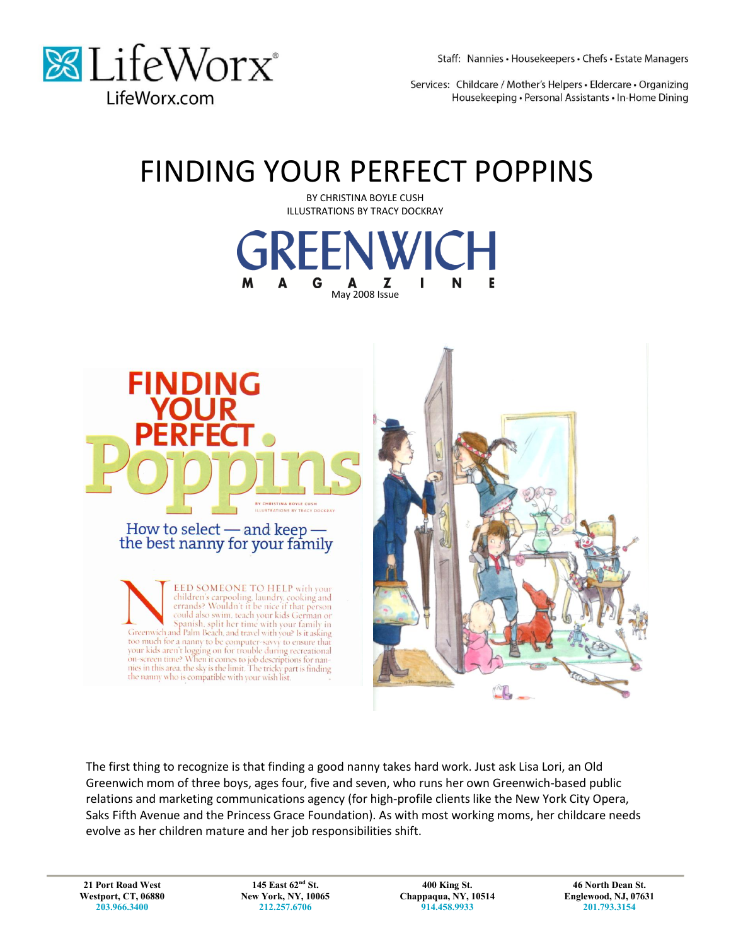

Staff: Nannies · Housekeepers · Chefs · Estate Managers

Services: Childcare / Mother's Helpers · Eldercare · Organizing Housekeeping · Personal Assistants · In-Home Dining

# FINDING YOUR PERFECT POPPINS



The first thing to recognize is that finding a good nanny takes hard work. Just ask Lisa Lori, an Old Greenwich mom of three boys, ages four, five and seven, who runs her own Greenwich-based public relations and marketing communications agency (for high-profile clients like the New York City Opera, Saks Fifth Avenue and the Princess Grace Foundation). As with most working moms, her childcare needs evolve as her children mature and her job responsibilities shift.

**21 Port Road West Westport, CT, 06880 203.966.3400**

**145 East 62nd St. New York, NY, 10065 212.257.6706**

**400 King St. Chappaqua, NY, 10514 914.458.9933**

**46 North Dean St. Englewood, NJ, 07631 201.793.3154**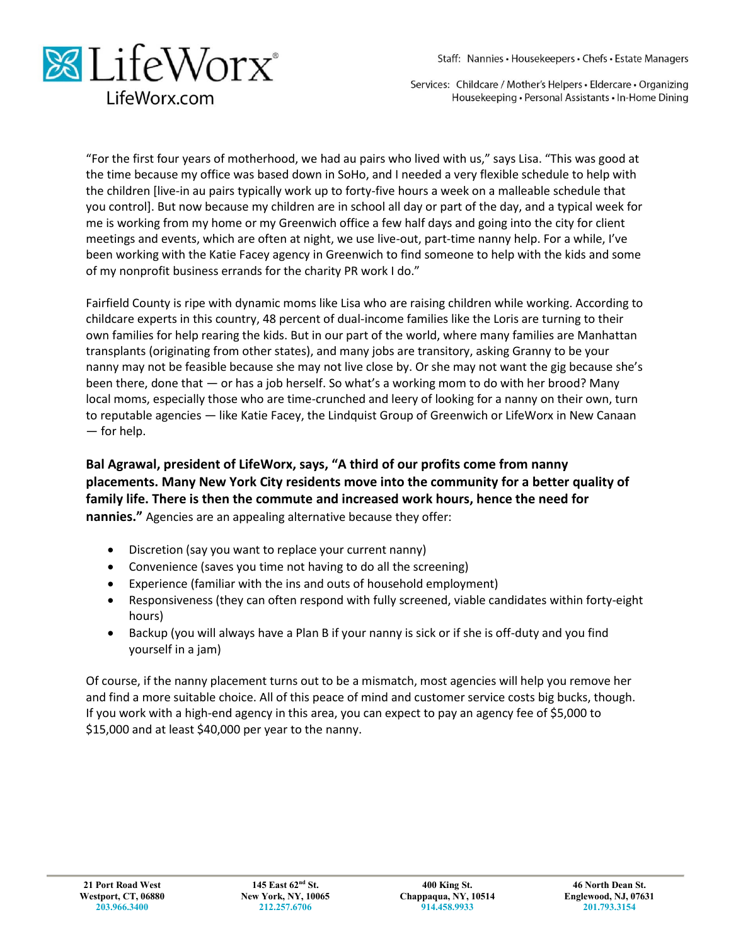Staff: Nannies · Housekeepers · Chefs · Estate Managers



Services: Childcare / Mother's Helpers · Eldercare · Organizing Housekeeping · Personal Assistants · In-Home Dining

"For the first four years of motherhood, we had au pairs who lived with us," says Lisa. "This was good at the time because my office was based down in SoHo, and I needed a very flexible schedule to help with the children [live-in au pairs typically work up to forty-five hours a week on a malleable schedule that you control]. But now because my children are in school all day or part of the day, and a typical week for me is working from my home or my Greenwich office a few half days and going into the city for client meetings and events, which are often at night, we use live-out, part-time nanny help. For a while, I've been working with the Katie Facey agency in Greenwich to find someone to help with the kids and some of my nonprofit business errands for the charity PR work I do."

Fairfield County is ripe with dynamic moms like Lisa who are raising children while working. According to childcare experts in this country, 48 percent of dual-income families like the Loris are turning to their own families for help rearing the kids. But in our part of the world, where many families are Manhattan transplants (originating from other states), and many jobs are transitory, asking Granny to be your nanny may not be feasible because she may not live close by. Or she may not want the gig because she's been there, done that — or has a job herself. So what's a working mom to do with her brood? Many local moms, especially those who are time-crunched and leery of looking for a nanny on their own, turn to reputable agencies — like Katie Facey, the Lindquist Group of Greenwich or LifeWorx in New Canaan — for help.

# **Bal Agrawal, president of LifeWorx, says, "A third of our profits come from nanny placements. Many New York City residents move into the community for a better quality of family life. There is then the commute and increased work hours, hence the need for nannies."** Agencies are an appealing alternative because they offer:

- Discretion (say you want to replace your current nanny)
- Convenience (saves you time not having to do all the screening)
- Experience (familiar with the ins and outs of household employment)
- Responsiveness (they can often respond with fully screened, viable candidates within forty-eight hours)
- Backup (you will always have a Plan B if your nanny is sick or if she is off-duty and you find yourself in a jam)

Of course, if the nanny placement turns out to be a mismatch, most agencies will help you remove her and find a more suitable choice. All of this peace of mind and customer service costs big bucks, though. If you work with a high-end agency in this area, you can expect to pay an agency fee of \$5,000 to \$15,000 and at least \$40,000 per year to the nanny.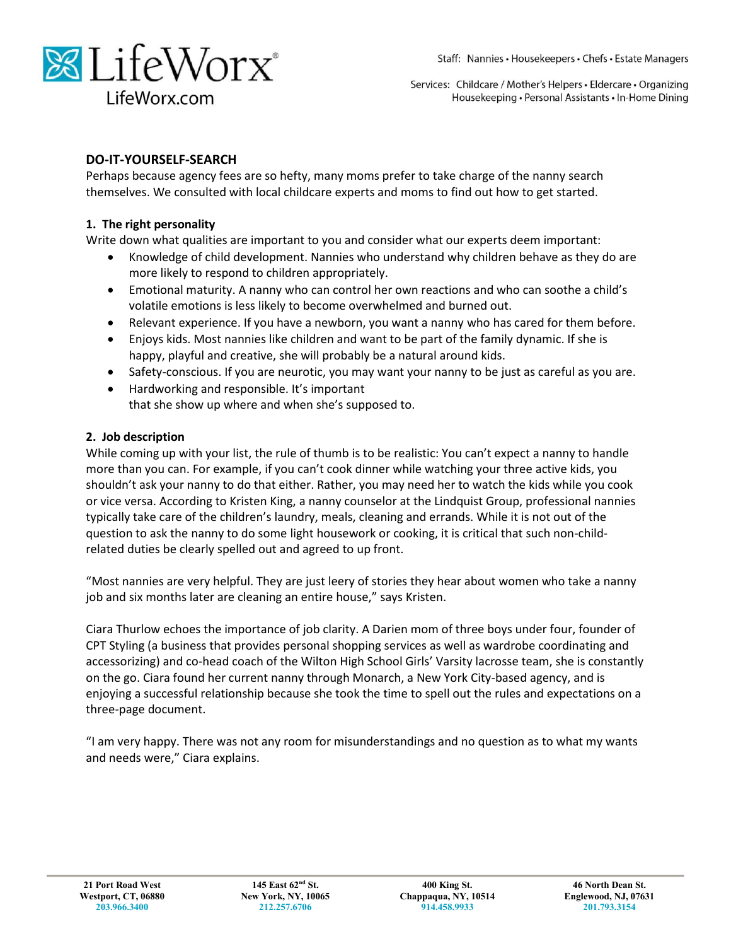



#### **DO-IT-YOURSELF-SEARCH**

Perhaps because agency fees are so hefty, many moms prefer to take charge of the nanny search themselves. We consulted with local childcare experts and moms to find out how to get started.

#### **1. The right personality**

Write down what qualities are important to you and consider what our experts deem important:

- Knowledge of child development. Nannies who understand why children behave as they do are more likely to respond to children appropriately.
- Emotional maturity. A nanny who can control her own reactions and who can soothe a child's volatile emotions is less likely to become overwhelmed and burned out.
- Relevant experience. If you have a newborn, you want a nanny who has cared for them before.
- Enjoys kids. Most nannies like children and want to be part of the family dynamic. If she is happy, playful and creative, she will probably be a natural around kids.
- Safety-conscious. If you are neurotic, you may want your nanny to be just as careful as you are.
- Hardworking and responsible. It's important that she show up where and when she's supposed to.

#### **2. Job description**

While coming up with your list, the rule of thumb is to be realistic: You can't expect a nanny to handle more than you can. For example, if you can't cook dinner while watching your three active kids, you shouldn't ask your nanny to do that either. Rather, you may need her to watch the kids while you cook or vice versa. According to Kristen King, a nanny counselor at the Lindquist Group, professional nannies typically take care of the children's laundry, meals, cleaning and errands. While it is not out of the question to ask the nanny to do some light housework or cooking, it is critical that such non-childrelated duties be clearly spelled out and agreed to up front.

"Most nannies are very helpful. They are just leery of stories they hear about women who take a nanny job and six months later are cleaning an entire house," says Kristen.

Ciara Thurlow echoes the importance of job clarity. A Darien mom of three boys under four, founder of CPT Styling (a business that provides personal shopping services as well as wardrobe coordinating and accessorizing) and co-head coach of the Wilton High School Girls' Varsity lacrosse team, she is constantly on the go. Ciara found her current nanny through Monarch, a New York City-based agency, and is enjoying a successful relationship because she took the time to spell out the rules and expectations on a three-page document.

"I am very happy. There was not any room for misunderstandings and no question as to what my wants and needs were," Ciara explains.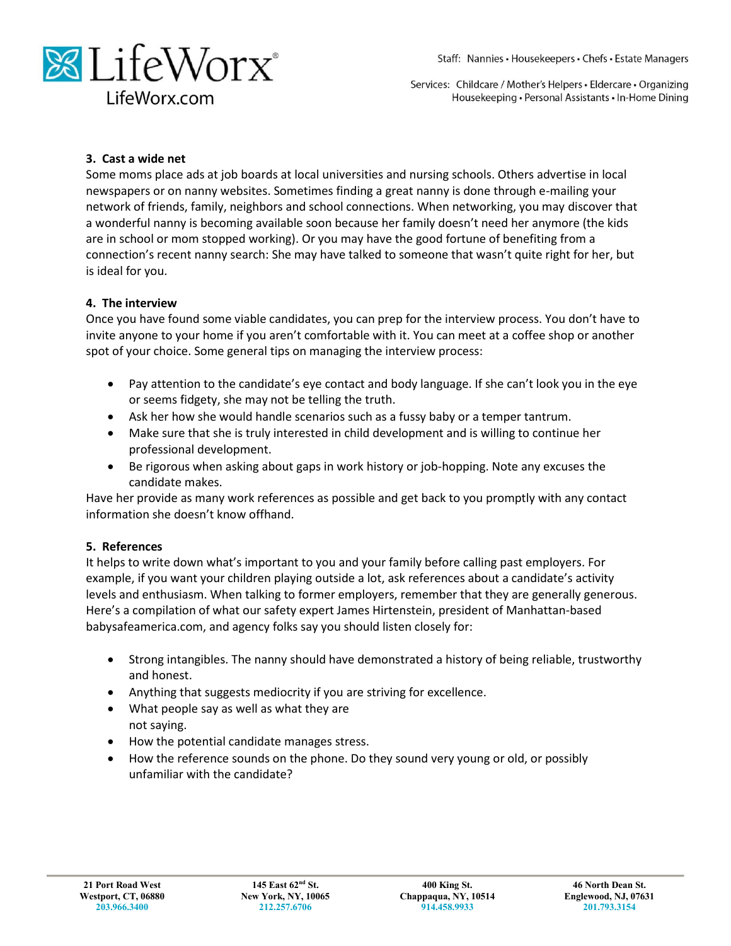

#### **3. Cast a wide net**

Some moms place ads at job boards at local universities and nursing schools. Others advertise in local newspapers or on nanny websites. Sometimes finding a great nanny is done through e-mailing your network of friends, family, neighbors and school connections. When networking, you may discover that a wonderful nanny is becoming available soon because her family doesn't need her anymore (the kids are in school or mom stopped working). Or you may have the good fortune of benefiting from a connection's recent nanny search: She may have talked to someone that wasn't quite right for her, but is ideal for you.

#### **4. The interview**

Once you have found some viable candidates, you can prep for the interview process. You don't have to invite anyone to your home if you aren't comfortable with it. You can meet at a coffee shop or another spot of your choice. Some general tips on managing the interview process:

- Pay attention to the candidate's eye contact and body language. If she can't look you in the eye or seems fidgety, she may not be telling the truth.
- Ask her how she would handle scenarios such as a fussy baby or a temper tantrum.
- Make sure that she is truly interested in child development and is willing to continue her professional development.
- Be rigorous when asking about gaps in work history or job-hopping. Note any excuses the candidate makes.

Have her provide as many work references as possible and get back to you promptly with any contact information she doesn't know offhand.

#### **5. References**

It helps to write down what's important to you and your family before calling past employers. For example, if you want your children playing outside a lot, ask references about a candidate's activity levels and enthusiasm. When talking to former employers, remember that they are generally generous. Here's a compilation of what our safety expert James Hirtenstein, president of Manhattan-based babysafeamerica.com, and agency folks say you should listen closely for:

- Strong intangibles. The nanny should have demonstrated a history of being reliable, trustworthy and honest.
- Anything that suggests mediocrity if you are striving for excellence.
- What people say as well as what they are not saying.
- How the potential candidate manages stress.
- How the reference sounds on the phone. Do they sound very young or old, or possibly unfamiliar with the candidate?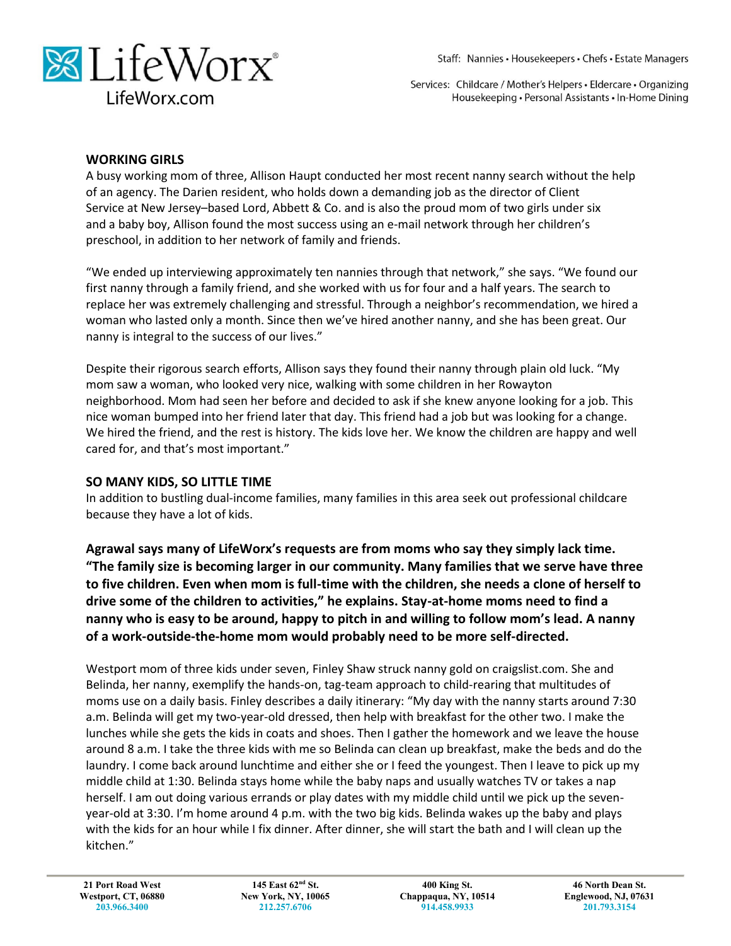



#### **WORKING GIRLS**

A busy working mom of three, Allison Haupt conducted her most recent nanny search without the help of an agency. The Darien resident, who holds down a demanding job as the director of Client Service at New Jersey–based Lord, Abbett & Co. and is also the proud mom of two girls under six and a baby boy, Allison found the most success using an e-mail network through her children's preschool, in addition to her network of family and friends.

"We ended up interviewing approximately ten nannies through that network," she says. "We found our first nanny through a family friend, and she worked with us for four and a half years. The search to replace her was extremely challenging and stressful. Through a neighbor's recommendation, we hired a woman who lasted only a month. Since then we've hired another nanny, and she has been great. Our nanny is integral to the success of our lives."

Despite their rigorous search efforts, Allison says they found their nanny through plain old luck. "My mom saw a woman, who looked very nice, walking with some children in her Rowayton neighborhood. Mom had seen her before and decided to ask if she knew anyone looking for a job. This nice woman bumped into her friend later that day. This friend had a job but was looking for a change. We hired the friend, and the rest is history. The kids love her. We know the children are happy and well cared for, and that's most important."

## **SO MANY KIDS, SO LITTLE TIME**

In addition to bustling dual-income families, many families in this area seek out professional childcare because they have a lot of kids.

**Agrawal says many of LifeWorx's requests are from moms who say they simply lack time. "The family size is becoming larger in our community. Many families that we serve have three to five children. Even when mom is full-time with the children, she needs a clone of herself to drive some of the children to activities," he explains. Stay-at-home moms need to find a nanny who is easy to be around, happy to pitch in and willing to follow mom's lead. A nanny of a work-outside-the-home mom would probably need to be more self-directed.**

Westport mom of three kids under seven, Finley Shaw struck nanny gold on craigslist.com. She and Belinda, her nanny, exemplify the hands-on, tag-team approach to child-rearing that multitudes of moms use on a daily basis. Finley describes a daily itinerary: "My day with the nanny starts around 7:30 a.m. Belinda will get my two-year-old dressed, then help with breakfast for the other two. I make the lunches while she gets the kids in coats and shoes. Then I gather the homework and we leave the house around 8 a.m. I take the three kids with me so Belinda can clean up breakfast, make the beds and do the laundry. I come back around lunchtime and either she or I feed the youngest. Then I leave to pick up my middle child at 1:30. Belinda stays home while the baby naps and usually watches TV or takes a nap herself. I am out doing various errands or play dates with my middle child until we pick up the sevenyear-old at 3:30. I'm home around 4 p.m. with the two big kids. Belinda wakes up the baby and plays with the kids for an hour while I fix dinner. After dinner, she will start the bath and I will clean up the kitchen."